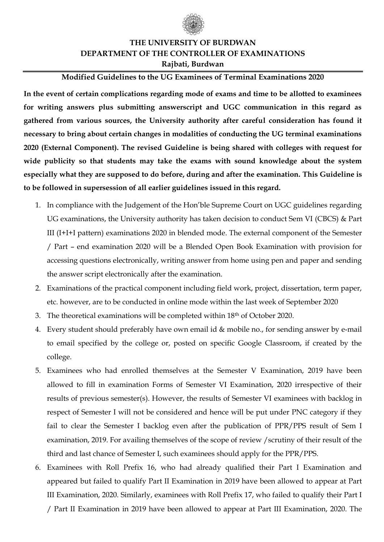

## **THE UNIVERSITY OF BURDWAN DEPARTMENT OF THE CONTROLLER OF EXAMINATIONS Rajbati, Burdwan**

## **Modified Guidelines to the UG Examinees of Terminal Examinations 2020**

**In the event of certain complications regarding mode of exams and time to be allotted to examinees for writing answers plus submitting answerscript and UGC communication in this regard as gathered from various sources, the University authority after careful consideration has found it necessary to bring about certain changes in modalities of conducting the UG terminal examinations 2020 (External Component). The revised Guideline is being shared with colleges with request for wide publicity so that students may take the exams with sound knowledge about the system especially what they are supposed to do before, during and after the examination. This Guideline is to be followed in supersession of all earlier guidelines issued in this regard.**

- 1. In compliance with the Judgement of the Hon'ble Supreme Court on UGC guidelines regarding UG examinations, the University authority has taken decision to conduct Sem VI (CBCS) & Part III (I+I+I pattern) examinations 2020 in blended mode. The external component of the Semester / Part – end examination 2020 will be a Blended Open Book Examination with provision for accessing questions electronically, writing answer from home using pen and paper and sending the answer script electronically after the examination.
- 2. Examinations of the practical component including field work, project, dissertation, term paper, etc. however, are to be conducted in online mode within the last week of September 2020
- 3. The theoretical examinations will be completed within 18th of October 2020.
- 4. Every student should preferably have own email id & mobile no., for sending answer by e-mail to email specified by the college or, posted on specific Google Classroom, if created by the college.
- 5. Examinees who had enrolled themselves at the Semester V Examination, 2019 have been allowed to fill in examination Forms of Semester VI Examination, 2020 irrespective of their results of previous semester(s). However, the results of Semester VI examinees with backlog in respect of Semester I will not be considered and hence will be put under PNC category if they fail to clear the Semester I backlog even after the publication of PPR/PPS result of Sem I examination, 2019. For availing themselves of the scope of review /scrutiny of their result of the third and last chance of Semester I, such examinees should apply for the PPR/PPS.
- 6. Examinees with Roll Prefix 16, who had already qualified their Part I Examination and appeared but failed to qualify Part II Examination in 2019 have been allowed to appear at Part III Examination, 2020. Similarly, examinees with Roll Prefix 17, who failed to qualify their Part I / Part II Examination in 2019 have been allowed to appear at Part III Examination, 2020. The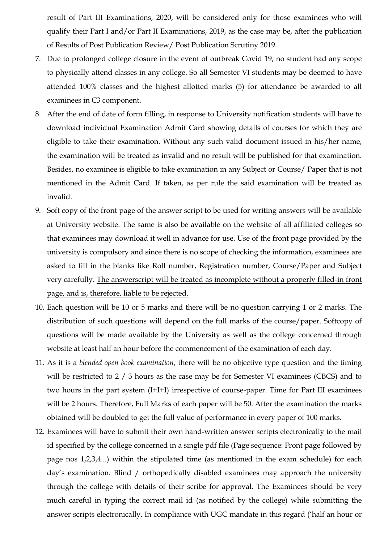result of Part III Examinations, 2020, will be considered only for those examinees who will qualify their Part I and/or Part II Examinations, 2019, as the case may be, after the publication of Results of Post Publication Review/ Post Publication Scrutiny 2019.

- 7. Due to prolonged college closure in the event of outbreak Covid 19, no student had any scope to physically attend classes in any college. So all Semester VI students may be deemed to have attended 100% classes and the highest allotted marks (5) for attendance be awarded to all examinees in C3 component.
- 8. After the end of date of form filling, in response to University notification students will have to download individual Examination Admit Card showing details of courses for which they are eligible to take their examination. Without any such valid document issued in his/her name, the examination will be treated as invalid and no result will be published for that examination. Besides, no examinee is eligible to take examination in any Subject or Course/ Paper that is not mentioned in the Admit Card. If taken, as per rule the said examination will be treated as invalid.
- 9. Soft copy of the front page of the answer script to be used for writing answers will be available at University website. The same is also be available on the website of all affiliated colleges so that examinees may download it well in advance for use. Use of the front page provided by the university is compulsory and since there is no scope of checking the information, examinees are asked to fill in the blanks like Roll number, Registration number, Course/Paper and Subject very carefully. The answerscript will be treated as incomplete without a properly filled-in front page, and is, therefore, liable to be rejected.
- 10. Each question will be 10 or 5 marks and there will be no question carrying 1 or 2 marks. The distribution of such questions will depend on the full marks of the course/paper. Softcopy of questions will be made available by the University as well as the college concerned through website at least half an hour before the commencement of the examination of each day.
- 11. As it is a *blended open book examination*, there will be no objective type question and the timing will be restricted to 2 / 3 hours as the case may be for Semester VI examinees (CBCS) and to two hours in the part system (I+I+I) irrespective of course-paper. Time for Part III examinees will be 2 hours. Therefore, Full Marks of each paper will be 50. After the examination the marks obtained will be doubled to get the full value of performance in every paper of 100 marks.
- 12. Examinees will have to submit their own hand-written answer scripts electronically to the mail id specified by the college concerned in a single pdf file (Page sequence: Front page followed by page nos 1,2,3,4...) within the stipulated time (as mentioned in the exam schedule) for each day's examination. Blind / orthopedically disabled examinees may approach the university through the college with details of their scribe for approval. The Examinees should be very much careful in typing the correct mail id (as notified by the college) while submitting the answer scripts electronically. In compliance with UGC mandate in this regard ('half an hour or